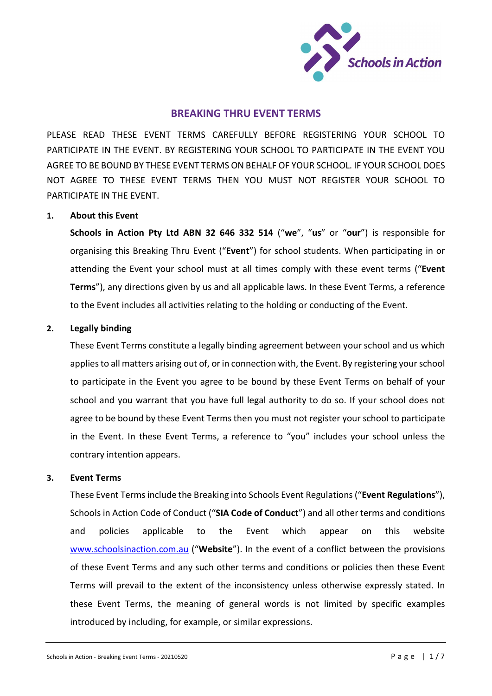

# BREAKING THRU EVENT TERMS

PLEASE READ THESE EVENT TERMS CAREFULLY BEFORE REGISTERING YOUR SCHOOL TO PARTICIPATE IN THE EVENT. BY REGISTERING YOUR SCHOOL TO PARTICIPATE IN THE EVENT YOU AGREE TO BE BOUND BY THESE EVENT TERMS ON BEHALF OF YOUR SCHOOL. IF YOUR SCHOOL DOES NOT AGREE TO THESE EVENT TERMS THEN YOU MUST NOT REGISTER YOUR SCHOOL TO PARTICIPATE IN THE EVENT.

## 1. About this Event

Schools in Action Pty Ltd ABN 32 646 332 514 ("we", "us" or "our") is responsible for organising this Breaking Thru Event ("Event") for school students. When participating in or attending the Event your school must at all times comply with these event terms ("Event Terms"), any directions given by us and all applicable laws. In these Event Terms, a reference to the Event includes all activities relating to the holding or conducting of the Event.

## 2. Legally binding

These Event Terms constitute a legally binding agreement between your school and us which applies to all matters arising out of, or in connection with, the Event. By registering your school to participate in the Event you agree to be bound by these Event Terms on behalf of your school and you warrant that you have full legal authority to do so. If your school does not agree to be bound by these Event Terms then you must not register your school to participate in the Event. In these Event Terms, a reference to "you" includes your school unless the contrary intention appears.

## 3. Event Terms

These Event Terms include the Breaking into Schools Event Regulations ("Event Regulations"), Schools in Action Code of Conduct ("SIA Code of Conduct") and all other terms and conditions and policies applicable to the Event which appear on this website www.schoolsinaction.com.au ("Website"). In the event of a conflict between the provisions of these Event Terms and any such other terms and conditions or policies then these Event Terms will prevail to the extent of the inconsistency unless otherwise expressly stated. In these Event Terms, the meaning of general words is not limited by specific examples introduced by including, for example, or similar expressions.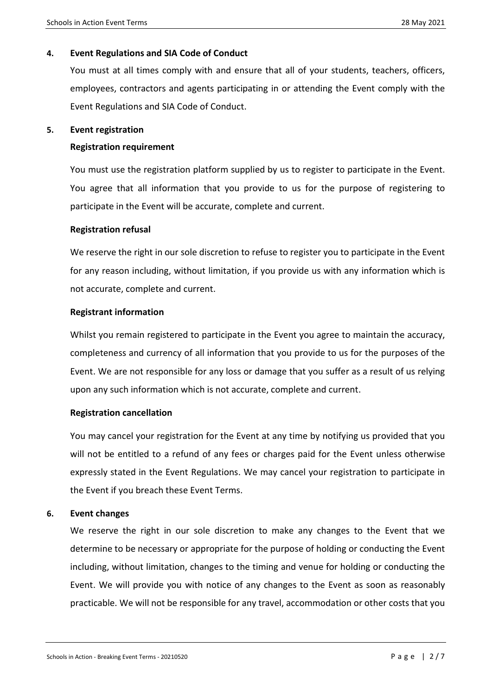# 4. Event Regulations and SIA Code of Conduct

You must at all times comply with and ensure that all of your students, teachers, officers, employees, contractors and agents participating in or attending the Event comply with the Event Regulations and SIA Code of Conduct.

## 5. Event registration

## Registration requirement

You must use the registration platform supplied by us to register to participate in the Event. You agree that all information that you provide to us for the purpose of registering to participate in the Event will be accurate, complete and current.

## Registration refusal

We reserve the right in our sole discretion to refuse to register you to participate in the Event for any reason including, without limitation, if you provide us with any information which is not accurate, complete and current.

## Registrant information

Whilst you remain registered to participate in the Event you agree to maintain the accuracy, completeness and currency of all information that you provide to us for the purposes of the Event. We are not responsible for any loss or damage that you suffer as a result of us relying upon any such information which is not accurate, complete and current.

## Registration cancellation

You may cancel your registration for the Event at any time by notifying us provided that you will not be entitled to a refund of any fees or charges paid for the Event unless otherwise expressly stated in the Event Regulations. We may cancel your registration to participate in the Event if you breach these Event Terms.

## 6. Event changes

We reserve the right in our sole discretion to make any changes to the Event that we determine to be necessary or appropriate for the purpose of holding or conducting the Event including, without limitation, changes to the timing and venue for holding or conducting the Event. We will provide you with notice of any changes to the Event as soon as reasonably practicable. We will not be responsible for any travel, accommodation or other costs that you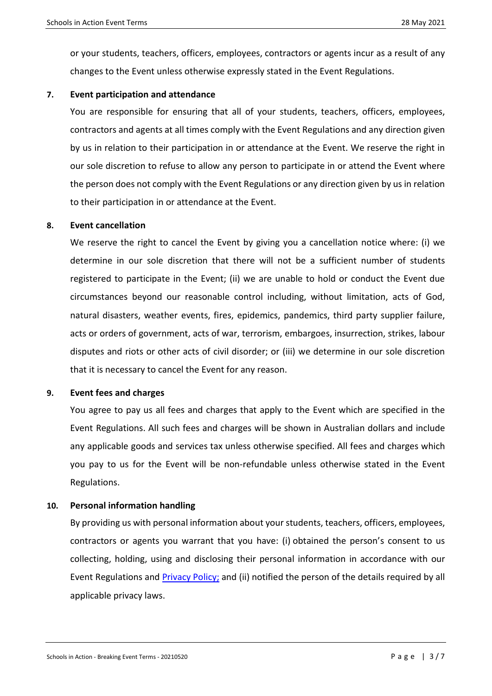or your students, teachers, officers, employees, contractors or agents incur as a result of any changes to the Event unless otherwise expressly stated in the Event Regulations.

## 7. Event participation and attendance

You are responsible for ensuring that all of your students, teachers, officers, employees, contractors and agents at all times comply with the Event Regulations and any direction given by us in relation to their participation in or attendance at the Event. We reserve the right in our sole discretion to refuse to allow any person to participate in or attend the Event where the person does not comply with the Event Regulations or any direction given by us in relation to their participation in or attendance at the Event.

## 8. Event cancellation

We reserve the right to cancel the Event by giving you a cancellation notice where: (i) we determine in our sole discretion that there will not be a sufficient number of students registered to participate in the Event; (ii) we are unable to hold or conduct the Event due circumstances beyond our reasonable control including, without limitation, acts of God, natural disasters, weather events, fires, epidemics, pandemics, third party supplier failure, acts or orders of government, acts of war, terrorism, embargoes, insurrection, strikes, labour disputes and riots or other acts of civil disorder; or (iii) we determine in our sole discretion that it is necessary to cancel the Event for any reason.

## 9. Event fees and charges

You agree to pay us all fees and charges that apply to the Event which are specified in the Event Regulations. All such fees and charges will be shown in Australian dollars and include any applicable goods and services tax unless otherwise specified. All fees and charges which you pay to us for the Event will be non-refundable unless otherwise stated in the Event Regulations.

## 10. Personal information handling

By providing us with personal information about your students, teachers, officers, employees, contractors or agents you warrant that you have: (i) obtained the person's consent to us collecting, holding, using and disclosing their personal information in accordance with our Event Regulations and **Privacy Policy**; and (ii) notified the person of the details required by all applicable privacy laws.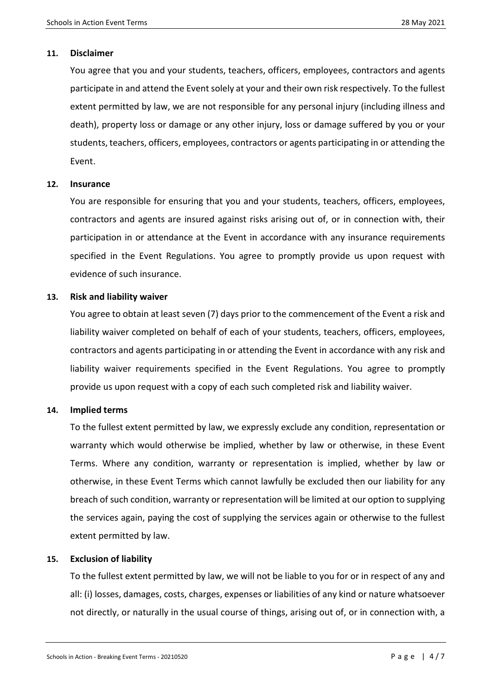### 11. Disclaimer

You agree that you and your students, teachers, officers, employees, contractors and agents participate in and attend the Event solely at your and their own risk respectively. To the fullest extent permitted by law, we are not responsible for any personal injury (including illness and death), property loss or damage or any other injury, loss or damage suffered by you or your students, teachers, officers, employees, contractors or agents participating in or attending the Event.

## 12. Insurance

You are responsible for ensuring that you and your students, teachers, officers, employees, contractors and agents are insured against risks arising out of, or in connection with, their participation in or attendance at the Event in accordance with any insurance requirements specified in the Event Regulations. You agree to promptly provide us upon request with evidence of such insurance.

## 13. Risk and liability waiver

You agree to obtain at least seven (7) days prior to the commencement of the Event a risk and liability waiver completed on behalf of each of your students, teachers, officers, employees, contractors and agents participating in or attending the Event in accordance with any risk and liability waiver requirements specified in the Event Regulations. You agree to promptly provide us upon request with a copy of each such completed risk and liability waiver.

## 14. Implied terms

To the fullest extent permitted by law, we expressly exclude any condition, representation or warranty which would otherwise be implied, whether by law or otherwise, in these Event Terms. Where any condition, warranty or representation is implied, whether by law or otherwise, in these Event Terms which cannot lawfully be excluded then our liability for any breach of such condition, warranty or representation will be limited at our option to supplying the services again, paying the cost of supplying the services again or otherwise to the fullest extent permitted by law.

## 15. Exclusion of liability

To the fullest extent permitted by law, we will not be liable to you for or in respect of any and all: (i) losses, damages, costs, charges, expenses or liabilities of any kind or nature whatsoever not directly, or naturally in the usual course of things, arising out of, or in connection with, a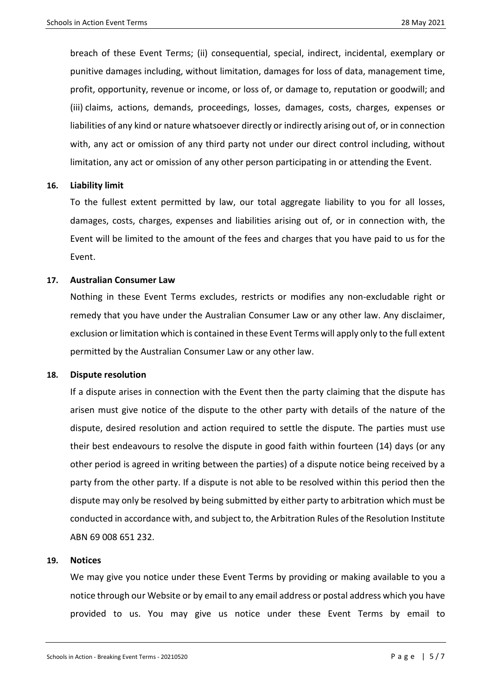breach of these Event Terms; (ii) consequential, special, indirect, incidental, exemplary or punitive damages including, without limitation, damages for loss of data, management time, profit, opportunity, revenue or income, or loss of, or damage to, reputation or goodwill; and (iii) claims, actions, demands, proceedings, losses, damages, costs, charges, expenses or liabilities of any kind or nature whatsoever directly or indirectly arising out of, or in connection with, any act or omission of any third party not under our direct control including, without limitation, any act or omission of any other person participating in or attending the Event.

## 16. Liability limit

To the fullest extent permitted by law, our total aggregate liability to you for all losses, damages, costs, charges, expenses and liabilities arising out of, or in connection with, the Event will be limited to the amount of the fees and charges that you have paid to us for the Event.

### 17. Australian Consumer Law

Nothing in these Event Terms excludes, restricts or modifies any non-excludable right or remedy that you have under the Australian Consumer Law or any other law. Any disclaimer, exclusion or limitation which is contained in these Event Terms will apply only to the full extent permitted by the Australian Consumer Law or any other law.

### 18. Dispute resolution

If a dispute arises in connection with the Event then the party claiming that the dispute has arisen must give notice of the dispute to the other party with details of the nature of the dispute, desired resolution and action required to settle the dispute. The parties must use their best endeavours to resolve the dispute in good faith within fourteen (14) days (or any other period is agreed in writing between the parties) of a dispute notice being received by a party from the other party. If a dispute is not able to be resolved within this period then the dispute may only be resolved by being submitted by either party to arbitration which must be conducted in accordance with, and subject to, the Arbitration Rules of the Resolution Institute ABN 69 008 651 232.

## 19. Notices

We may give you notice under these Event Terms by providing or making available to you a notice through our Website or by email to any email address or postal address which you have provided to us. You may give us notice under these Event Terms by email to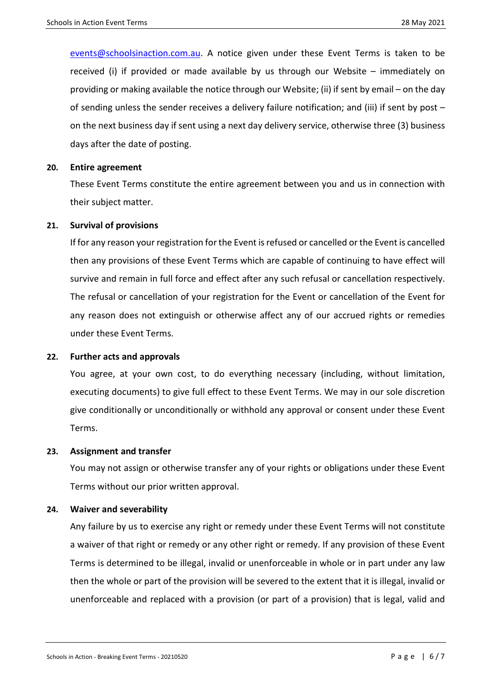events@schoolsinaction.com.au. A notice given under these Event Terms is taken to be received (i) if provided or made available by us through our Website – immediately on providing or making available the notice through our Website; (ii) if sent by email – on the day of sending unless the sender receives a delivery failure notification; and (iii) if sent by post – on the next business day if sent using a next day delivery service, otherwise three (3) business days after the date of posting.

#### 20. Entire agreement

These Event Terms constitute the entire agreement between you and us in connection with their subject matter.

#### 21. Survival of provisions

If for any reason your registration for the Event is refused or cancelled or the Event is cancelled then any provisions of these Event Terms which are capable of continuing to have effect will survive and remain in full force and effect after any such refusal or cancellation respectively. The refusal or cancellation of your registration for the Event or cancellation of the Event for any reason does not extinguish or otherwise affect any of our accrued rights or remedies under these Event Terms.

### 22. Further acts and approvals

You agree, at your own cost, to do everything necessary (including, without limitation, executing documents) to give full effect to these Event Terms. We may in our sole discretion give conditionally or unconditionally or withhold any approval or consent under these Event Terms.

### 23. Assignment and transfer

You may not assign or otherwise transfer any of your rights or obligations under these Event Terms without our prior written approval.

### 24. Waiver and severability

Any failure by us to exercise any right or remedy under these Event Terms will not constitute a waiver of that right or remedy or any other right or remedy. If any provision of these Event Terms is determined to be illegal, invalid or unenforceable in whole or in part under any law then the whole or part of the provision will be severed to the extent that it is illegal, invalid or unenforceable and replaced with a provision (or part of a provision) that is legal, valid and